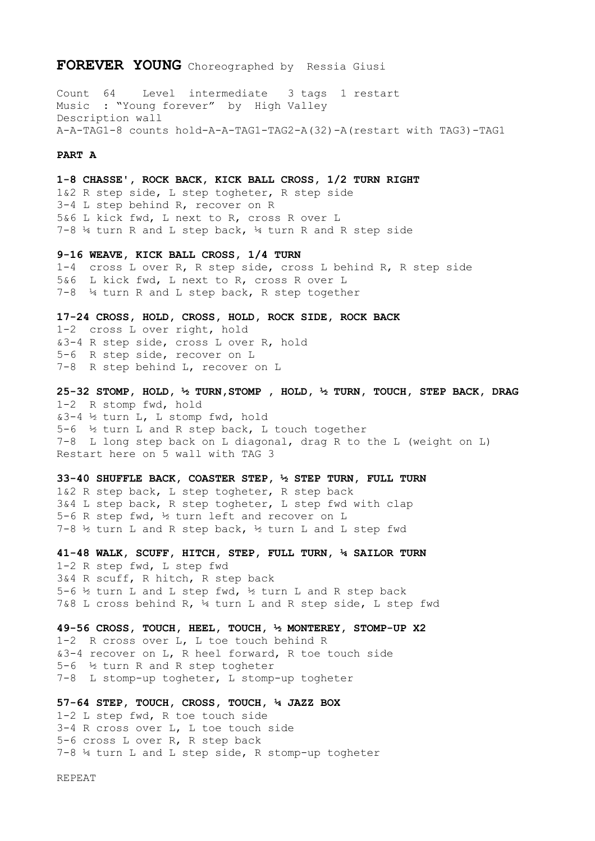## **FOREVER YOUNG** Choreographed by Ressia Giusi

Count 64 Level intermediate 3 tags 1 restart Music : "Young forever" by High Valley Description wall A-A-TAG1-8 counts hold-A-A-TAG1-TAG2-A(32)-A(restart with TAG3)-TAG1

## **PART A**

**1-8 CHASSE', ROCK BACK, KICK BALL CROSS, 1/2 TURN RIGHT**  1&2 R step side, L step togheter, R step side 3-4 L step behind R, recover on R 5&6 L kick fwd, L next to R, cross R over L 7-8 ¼ turn R and L step back, ¼ turn R and R step side

**9-16 WEAVE, KICK BALL CROSS, 1/4 TURN**  1-4 cross L over R, R step side, cross L behind R, R step side 5&6 L kick fwd, L next to R, cross R over L 7-8 ¼ turn R and L step back, R step together

**17-24 CROSS, HOLD, CROSS, HOLD, ROCK SIDE, ROCK BACK**  1-2 cross L over right, hold &3-4 R step side, cross L over R, hold 5-6 R step side, recover on L 7-8 R step behind L, recover on L

**25-32 STOMP, HOLD, ½ TURN,STOMP , HOLD, ½ TURN, TOUCH, STEP BACK, DRAG**  1-2 R stomp fwd, hold &3-4 ½ turn L, L stomp fwd, hold 5-6 ½ turn L and R step back, L touch together 7-8 L long step back on L diagonal, drag R to the L (weight on L) Restart here on 5 wall with TAG 3

**33-40 SHUFFLE BACK, COASTER STEP, ½ STEP TURN, FULL TURN**  1&2 R step back, L step togheter, R step back 3&4 L step back, R step togheter, L step fwd with clap 5-6 R step fwd, ½ turn left and recover on L 7-8 ½ turn L and R step back, ½ turn L and L step fwd

**41-48 WALK, SCUFF, HITCH, STEP, FULL TURN, ¼ SAILOR TURN**  1-2 R step fwd, L step fwd 3&4 R scuff, R hitch, R step back 5-6  $\frac{1}{2}$  turn L and L step fwd,  $\frac{1}{2}$  turn L and R step back 7&8 L cross behind R, ¼ turn L and R step side, L step fwd

**49-56 CROSS, TOUCH, HEEL, TOUCH, ½ MONTEREY, STOMP-UP X2**  1-2 R cross over L, L toe touch behind R &3-4 recover on L, R heel forward, R toe touch side 5-6 ½ turn R and R step togheter 7-8 L stomp-up togheter, L stomp-up togheter

**57-64 STEP, TOUCH, CROSS, TOUCH, ¼ JAZZ BOX**  1-2 L step fwd, R toe touch side 3-4 R cross over L, L toe touch side 5-6 cross L over R, R step back 7-8 ¼ turn L and L step side, R stomp-up togheter

REPEAT